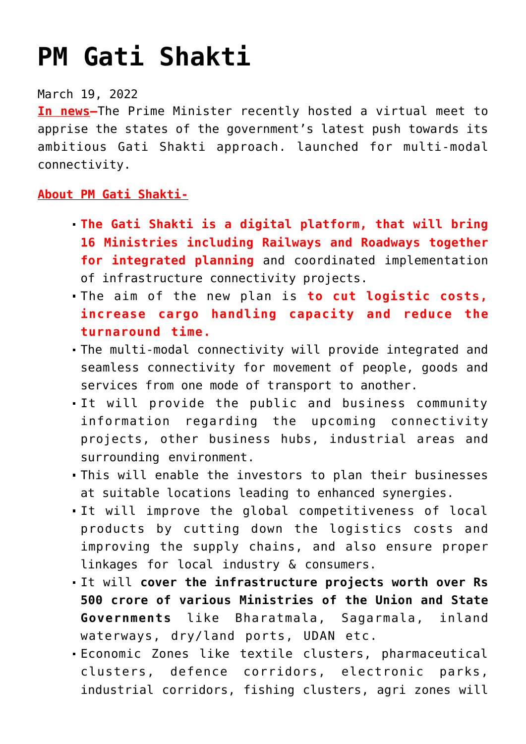## **[PM Gati Shakti](https://journalsofindia.com/pm-gati-shakti/)**

## March 19, 2022

**In news–**The Prime Minister recently hosted a virtual meet to apprise the states of the government's latest push towards its ambitious Gati Shakti approach. launched for multi-modal connectivity.

## **About PM Gati Shakti-**

- **The Gati Shakti is a digital platform, that will bring 16 Ministries including Railways and Roadways together for integrated planning** and coordinated implementation of infrastructure connectivity projects.
- The aim of the new plan is **to cut logistic costs, increase cargo handling capacity and reduce the turnaround time.**
- The multi-modal connectivity will provide integrated and seamless connectivity for movement of people, goods and services from one mode of transport to another.
- It will provide the public and business community information regarding the upcoming connectivity projects, other business hubs, industrial areas and surrounding environment.
- This will enable the investors to plan their businesses at suitable locations leading to enhanced synergies.
- It will improve the global competitiveness of local products by cutting down the logistics costs and improving the supply chains, and also ensure proper linkages for local industry & consumers.
- It will **cover the infrastructure projects worth over Rs 500 crore of various Ministries of the Union and State Governments** like Bharatmala, Sagarmala, inland waterways, dry/land ports, UDAN etc.
- Economic Zones like textile clusters, pharmaceutical clusters, defence corridors, electronic parks, industrial corridors, fishing clusters, agri zones will